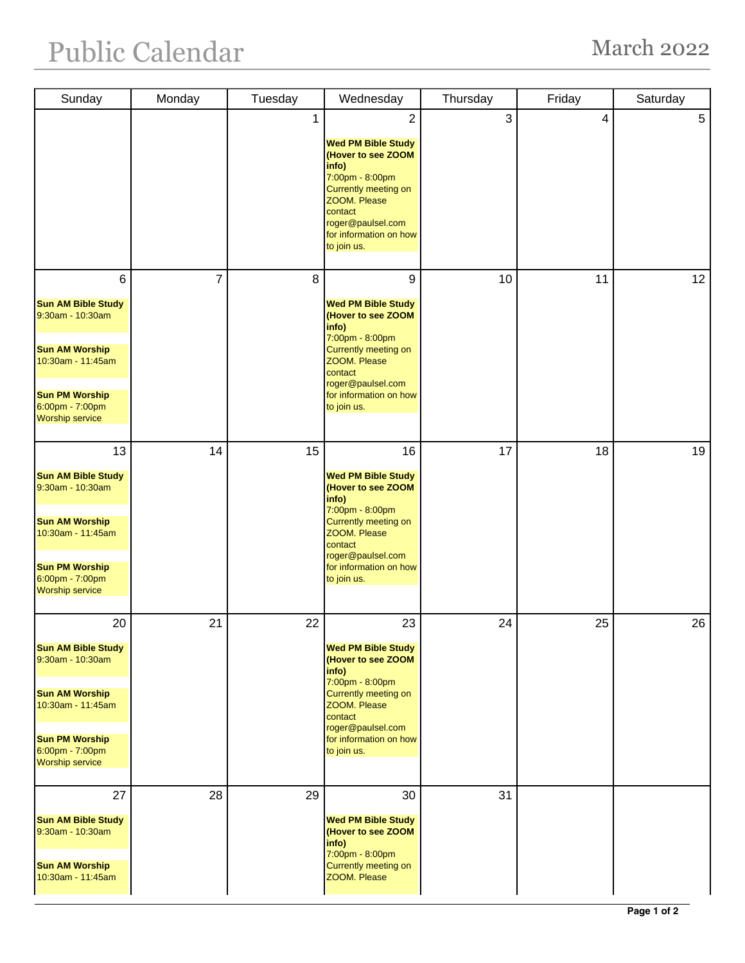| Sunday                                                                                                                                                                  | Monday         | Tuesday | Wednesday                                                                                                                                                                                                 | Thursday | Friday | Saturday |
|-------------------------------------------------------------------------------------------------------------------------------------------------------------------------|----------------|---------|-----------------------------------------------------------------------------------------------------------------------------------------------------------------------------------------------------------|----------|--------|----------|
|                                                                                                                                                                         |                | 1       | 2<br><b>Wed PM Bible Study</b><br>(Hover to see ZOOM<br>info)<br>7:00pm - 8:00pm<br>Currently meeting on<br>ZOOM. Please<br>contact<br>roger@paulsel.com<br>for information on how<br>to join us.         | 3        | 4      | 5        |
| 6<br><b>Sun AM Bible Study</b><br>9:30am - 10:30am<br><b>Sun AM Worship</b><br>10:30am - 11:45am<br><b>Sun PM Worship</b><br>6:00pm - 7:00pm<br><b>Worship service</b>  | $\overline{7}$ | 8       | 9<br><b>Wed PM Bible Study</b><br>(Hover to see ZOOM<br>info)<br>7:00pm - 8:00pm<br><b>Currently meeting on</b><br>ZOOM. Please<br>contact<br>roger@paulsel.com<br>for information on how<br>to join us.  | 10       | 11     | 12       |
| 13<br><b>Sun AM Bible Study</b><br>9:30am - 10:30am<br><b>Sun AM Worship</b><br>10:30am - 11:45am<br><b>Sun PM Worship</b><br>6:00pm - 7:00pm<br><b>Worship service</b> | 14             | 15      | 16<br><b>Wed PM Bible Study</b><br>(Hover to see ZOOM<br>info)<br>7:00pm - 8:00pm<br><b>Currently meeting on</b><br>ZOOM. Please<br>contact<br>roger@paulsel.com<br>for information on how<br>to join us. | 17       | 18     | 19       |
| 20<br><b>Sun AM Bible Study</b><br>9:30am - 10:30am<br><b>Sun AM Worship</b><br>10:30am - 11:45am<br><b>Sun PM Worship</b><br>6:00pm - 7:00pm<br><b>Worship service</b> | 21             | 22      | 23<br><b>Wed PM Bible Study</b><br>(Hover to see ZOOM<br>info)<br>7:00pm - 8:00pm<br>Currently meeting on<br>ZOOM. Please<br>contact<br>roger@paulsel.com<br>for information on how<br>to join us.        | 24       | 25     | 26       |
| 27<br><b>Sun AM Bible Study</b><br>9:30am - 10:30am<br><b>Sun AM Worship</b><br>10:30am - 11:45am                                                                       | 28             | 29      | 30<br><b>Wed PM Bible Study</b><br>(Hover to see ZOOM<br>info)<br>7:00pm - 8:00pm<br>Currently meeting on<br>ZOOM. Please                                                                                 | 31       |        |          |